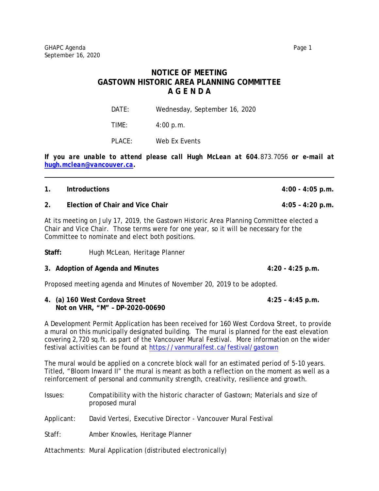## **NOTICE OF MEETING GASTOWN HISTORIC AREA PLANNING COMMITTEE A G E N D A**

DATE: Wednesday, September 16, 2020

TIME: 4:00 p.m.

PLACE: Web Ex Events

*If you are unable to attend please call Hugh McLean at 604.873.7056 or e-mail at [hugh.mclean@vancouver.ca.](mailto:hugh.mclean@vancouver.ca)* 

| 1.                                                                                                                                                                                                                                 | <b>Introductions</b>                                                                       | $4:00 - 4:05$ p.m. |  |
|------------------------------------------------------------------------------------------------------------------------------------------------------------------------------------------------------------------------------------|--------------------------------------------------------------------------------------------|--------------------|--|
| 2.                                                                                                                                                                                                                                 | Election of Chair and Vice Chair                                                           | $4:05 - 4:20$ p.m. |  |
| At its meeting on July 17, 2019, the Gastown Historic Area Planning Committee elected a<br>Chair and Vice Chair. Those terms were for one year, so it will be necessary for the<br>Committee to nominate and elect both positions. |                                                                                            |                    |  |
| Staff:                                                                                                                                                                                                                             | Hugh McLean, Heritage Planner                                                              |                    |  |
|                                                                                                                                                                                                                                    | 3. Adoption of Agenda and Minutes                                                          | $4:20 - 4:25$ p.m. |  |
|                                                                                                                                                                                                                                    | Proposed meeting agenda and Minutes of November 20, 2019 to be adopted.                    |                    |  |
|                                                                                                                                                                                                                                    | 4. (a) 160 West Cordova Street<br>Not on VHR, "M" - DP-2020-00690                          | $4:25 - 4:45$ p.m. |  |
|                                                                                                                                                                                                                                    | A Development Permit Application has been received for 160 West Cordova Street, to provide |                    |  |

a mural on this municipally designated building. The mural is planned for the east elevation covering 2,720 sq.ft. as part of the Vancouver Mural Festival. More information on the wider festival activities can be found at<https://vanmuralfest.ca/festival/gastown>

The mural would be applied on a concrete block wall for an estimated period of 5-10 years. Titled, "Bloom Inward II" the mural is meant as both a reflection on the moment as well as a reinforcement of personal and community strength, creativity, resilience and growth.

| Issues:    | Compatibility with the historic character of Gastown; Materials and size of<br>proposed mural |
|------------|-----------------------------------------------------------------------------------------------|
| Applicant: | David Vertesi, Executive Director - Vancouver Mural Festival                                  |
| Staff:     | Amber Knowles, Heritage Planner                                                               |
|            | Attachments: Mural Application (distributed electronically)                                   |